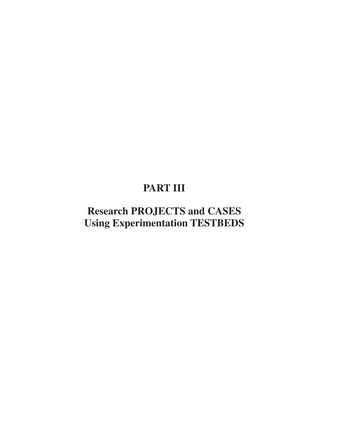# **PART III**

## **Research PROJECTS and CASES Using Experimentation TESTBEDS**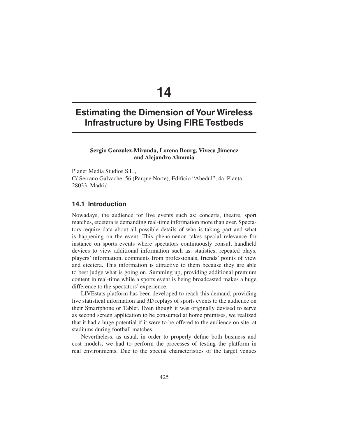## **14**

## **Estimating the Dimension of Your Wireless Infrastructure by Using FIRE Testbeds**

## **Sergio Gonzalez-Miranda, Lorena Bourg, Viveca Jimenez and Alejandro Almunia**

Planet Media Studios S.L., C/ Serrano Galvache, 56 (Parque Norte), Edificio "Abedul", 4a. Planta, 28033, Madrid

## **14.1 Introduction**

Nowadays, the audience for live events such as: concerts, theatre, sport matches, etcetera is demanding real-time information more than ever. Spectators require data about all possible details of who is taking part and what is happening on the event. This phenomenon takes special relevance for instance on sports events where spectators continuously consult handheld devices to view additional information such as: statistics, repeated plays, players' information, comments from professionals, friends' points of view and etcetera. This information is attractive to them because they are able to best judge what is going on. Summing up, providing additional premium content in real-time while a sports event is being broadcasted makes a huge difference to the spectators' experience.

LIVEstats platform has been developed to reach this demand, providing live statistical information and 3D replays of sports events to the audience on their Smartphone or Tablet. Even though it was originally devised to serve as second screen application to be consumed at home premises, we realized that it had a huge potential if it were to be offered to the audience on site, at stadiums during football matches.

Nevertheless, as usual, in order to properly define both business and cost models, we had to perform the processes of testing the platform in real environments. Due to the special characteristics of the target venues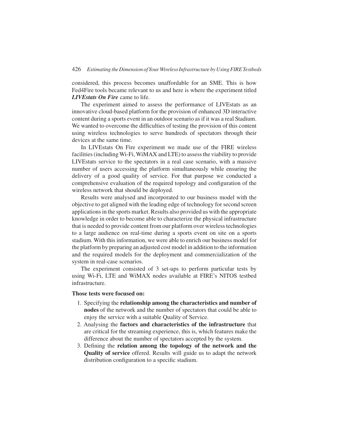considered, this process becomes unaffordable for an SME. This is how Fed4Fire tools became relevant to us and here is where the experiment titled *LIVEstats On Fire* came to life.

The experiment aimed to assess the performance of LIVEstats as an innovative cloud-based platform for the provision of enhanced 3D interactive content during a sports event in an outdoor scenario as if it was a real Stadium. We wanted to overcome the difficulties of testing the provision of this content using wireless technologies to serve hundreds of spectators through their devices at the same time.

In LIVEstats On Fire experiment we made use of the FIRE wireless facilities (including Wi-Fi, WiMAX and LTE) to assess the viability to provide LIVEstats service to the spectators in a real case scenario, with a massive number of users accessing the platform simultaneously while ensuring the delivery of a good quality of service. For that purpose we conducted a comprehensive evaluation of the required topology and configuration of the wireless network that should be deployed.

Results were analysed and incorporated to our business model with the objective to get aligned with the leading edge of technology for second screen applications in the sports market. Results also provided us with the appropriate knowledge in order to become able to characterize the physical infrastructure that is needed to provide content from our platform over wireless technologies to a large audience on real-time during a sports event on site on a sports stadium. With this information, we were able to enrich our business model for the platform by preparing an adjusted cost model in addition to the information and the required models for the deployment and commercialization of the system in real-case scenarios.

The experiment consisted of 3 set-ups to perform particular tests by using Wi-Fi, LTE and WiMAX nodes available at FIRE's NITOS testbed infrastructure.

#### **Those tests were focused on:**

- 1. Specifying the **relationship among the characteristics and number of nodes** of the network and the number of spectators that could be able to enjoy the service with a suitable Quality of Service.
- 2. Analysing the **factors and characteristics of the infrastructure** that are critical for the streaming experience, this is, which features make the difference about the number of spectators accepted by the system.
- 3. Defining the **relation among the topology of the network and the Quality of service** offered. Results will guide us to adapt the network distribution configuration to a specific stadium.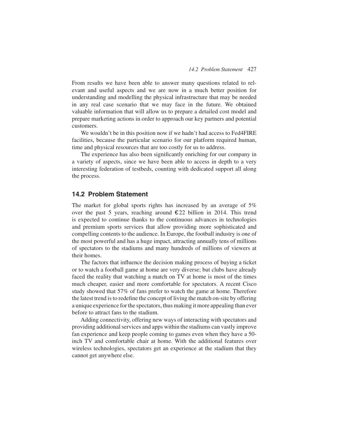From results we have been able to answer many questions related to relevant and useful aspects and we are now in a much better position for understanding and modelling the physical infrastructure that may be needed in any real case scenario that we may face in the future. We obtained valuable information that will allow us to prepare a detailed cost model and prepare marketing actions in order to approach our key partners and potential customers.

We wouldn't be in this position now if we hadn't had access to Fed4FIRE facilities, because the particular scenario for our platform required human, time and physical resources that are too costly for us to address.

The experience has also been significantly enriching for our company in a variety of aspects, since we have been able to access in depth to a very interesting federation of testbeds, counting with dedicated support all along the process.

## **14.2 Problem Statement**

The market for global sports rights has increased by an average of 5% over the past 5 years, reaching around  $\epsilon$  22 billion in 2014. This trend is expected to continue thanks to the continuous advances in technologies and premium sports services that allow providing more sophisticated and compelling contents to the audience. In Europe, the football industry is one of the most powerful and has a huge impact, attracting annually tens of millions of spectators to the stadiums and many hundreds of millions of viewers at their homes.

The factors that influence the decision making process of buying a ticket or to watch a football game at home are very diverse; but clubs have already faced the reality that watching a match on TV at home is most of the times much cheaper, easier and more comfortable for spectators. A recent Cisco study showed that 57% of fans prefer to watch the game at home. Therefore the latest trend is to redefine the concept of living the match on-site by offering a unique experience for the spectators, thus making it more appealing than ever before to attract fans to the stadium.

Adding connectivity, offering new ways of interacting with spectators and providing additional services and apps within the stadiums can vastly improve fan experience and keep people coming to games even when they have a 50 inch TV and comfortable chair at home. With the additional features over wireless technologies, spectators get an experience at the stadium that they cannot get anywhere else.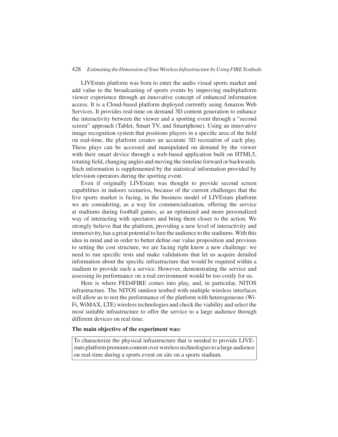#### 428 *Estimating the Dimension of Your Wireless Infrastructure by Using FIRE Testbeds*

LIVEstats platform was born to enter the audio visual sports market and add value to the broadcasting of sports events by improving multiplatform viewer experience through an innovative concept of enhanced information access. It is a Cloud-based platform deployed currently using Amazon Web Services. It provides real-time on demand 3D content generation to enhance the interactivity between the viewer and a sporting event through a "second screen" approach (Tablet, Smart TV, and Smartphone). Using an innovative image recognition system that positions players in a specific area of the field on real-time, the platform creates an accurate 3D recreation of each play. These plays can be accessed and manipulated on demand by the viewer with their smart device through a web-based application built on HTML5, rotating field, changing angles and moving the timeline forward or backwards. Such information is supplemented by the statistical information provided by television operators during the sporting event.

Even if originally LIVEstats was thought to provide second screen capabilities in indoors scenarios, because of the current challenges that the live sports market is facing, in the business model of LIVEstats platform we are considering, as a way for commercialization, offering the service at stadiums during football games, as an optimized and more personalized way of interacting with spectators and bring them closer to the action. We strongly believe that the platform, providing a new level of interactivity and immersivity, has a great potential to lure the audience to the stadiums. With this idea in mind and in order to better define our value proposition and previous to setting the cost structure, we are facing right know a new challenge: we need to run specific tests and make validations that let us acquire detailed information about the specific infrastructure that would be required within a stadium to provide such a service. However, demonstrating the service and assessing its performance on a real environment would be too costly for us.

Here is where FED4FIRE comes into play, and, in particular, NITOS infrastructure. The NITOS outdoor testbed with multiple wireless interfaces will allow us to test the performance of the platform with heterogeneous (Wi-Fi, WiMAX, LTE) wireless technologies and check the viability and select the most suitable infrastructure to offer the service to a large audience through different devices on real time.

#### **The main objective of the experiment was:**

To characterize the physical infrastructure that is needed to provide LIVEstats platform premium content over wireless technologies to a large audience on real-time during a sports event on site on a sports stadium.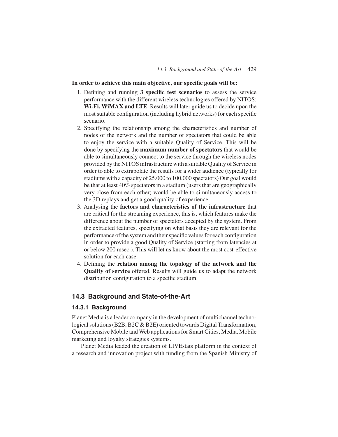#### **In order to achieve this main objective, our specific goals will be:**

- 1. Defining and running **3 specific test scenarios** to assess the service performance with the different wireless technologies offered by NITOS: **Wi-Fi, WiMAX and LTE**. Results will later guide us to decide upon the most suitable configuration (including hybrid networks) for each specific scenario.
- 2. Specifying the relationship among the characteristics and number of nodes of the network and the number of spectators that could be able to enjoy the service with a suitable Quality of Service. This will be done by specifying the **maximum number of spectators** that would be able to simultaneously connect to the service through the wireless nodes provided by the NITOS infrastructure with a suitable Quality of Service in order to able to extrapolate the results for a wider audience (typically for stadiums with a capacity of 25.000 to 100.000 spectators) Our goal would be that at least 40% spectators in a stadium (users that are geographically very close from each other) would be able to simultaneously access to the 3D replays and get a good quality of experience.
- 3. Analysing the **factors and characteristics of the infrastructure** that are critical for the streaming experience, this is, which features make the difference about the number of spectators accepted by the system. From the extracted features, specifying on what basis they are relevant for the performance of the system and their specific values for each configuration in order to provide a good Quality of Service (starting from latencies at or below 200 msec.). This will let us know about the most cost-effective solution for each case.
- 4. Defining the **relation among the topology of the network and the Quality of service** offered. Results will guide us to adapt the network distribution configuration to a specific stadium.

## **14.3 Background and State-of-the-Art**

#### **14.3.1 Background**

Planet Media is a leader company in the development of multichannel technological solutions (B2B, B2C & B2E) oriented towards Digital Transformation, Comprehensive Mobile and Web applications for Smart Cities, Media, Mobile marketing and loyalty strategies systems.

Planet Media leaded the creation of LIVEstats platform in the context of a research and innovation project with funding from the Spanish Ministry of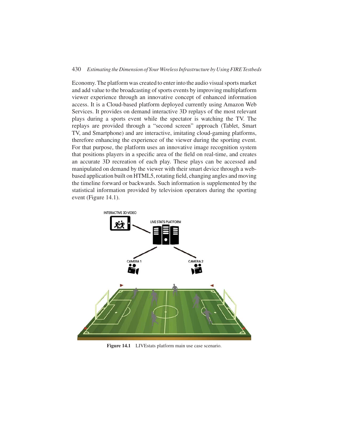#### 430 *Estimating the Dimension of Your Wireless Infrastructure by Using FIRE Testbeds*

Economy. The platform was created to enter into the audio visual sports market and add value to the broadcasting of sports events by improving multiplatform viewer experience through an innovative concept of enhanced information access. It is a Cloud-based platform deployed currently using Amazon Web Services. It provides on demand interactive 3D replays of the most relevant plays during a sports event while the spectator is watching the TV. The replays are provided through a "second screen" approach (Tablet, Smart TV, and Smartphone) and are interactive, imitating cloud-gaming platforms, therefore enhancing the experience of the viewer during the sporting event. For that purpose, the platform uses an innovative image recognition system that positions players in a specific area of the field on real-time, and creates an accurate 3D recreation of each play. These plays can be accessed and manipulated on demand by the viewer with their smart device through a webbased application built on HTML5, rotating field, changing angles and moving the timeline forward or backwards. Such information is supplemented by the statistical information provided by television operators during the sporting event (Figure 14.1).



**Figure 14.1** LIVEstats platform main use case scenario.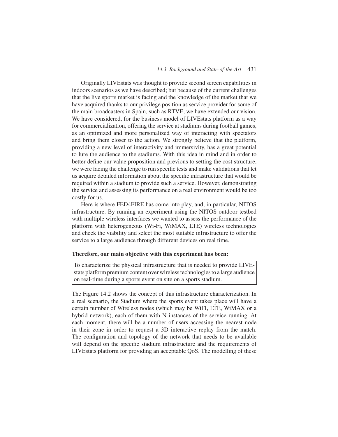Originally LIVEstats was thought to provide second screen capabilities in indoors scenarios as we have described; but because of the current challenges that the live sports market is facing and the knowledge of the market that we have acquired thanks to our privilege position as service provider for some of the main broadcasters in Spain, such as RTVE, we have extended our vision. We have considered, for the business model of LIVEstats platform as a way for commercialization, offering the service at stadiums during football games, as an optimized and more personalized way of interacting with spectators and bring them closer to the action. We strongly believe that the platform, providing a new level of interactivity and immersivity, has a great potential to lure the audience to the stadiums. With this idea in mind and in order to better define our value proposition and previous to setting the cost structure, we were facing the challenge to run specific tests and make validations that let us acquire detailed information about the specific infrastructure that would be required within a stadium to provide such a service. However, demonstrating the service and assessing its performance on a real environment would be too costly for us.

Here is where FED4FIRE has come into play, and, in particular, NITOS infrastructure. By running an experiment using the NITOS outdoor testbed with multiple wireless interfaces we wanted to assess the performance of the platform with heterogeneous (Wi-Fi, WiMAX, LTE) wireless technologies and check the viability and select the most suitable infrastructure to offer the service to a large audience through different devices on real time.

#### **Therefore, our main objective with this experiment has been:**

To characterize the physical infrastructure that is needed to provide LIVEstats platform premium content over wireless technologies to a large audience on real-time during a sports event on site on a sports stadium.

The Figure 14.2 shows the concept of this infrastructure characterization. In a real scenario, the Stadium where the sports event takes place will have a certain number of Wireless nodes (which may be WiFI, LTE, WiMAX or a hybrid network), each of them with N instances of the service running. At each moment, there will be a number of users accessing the nearest node in their zone in order to request a 3D interactive replay from the match. The configuration and topology of the network that needs to be available will depend on the specific stadium infrastructure and the requirements of LIVEstats platform for providing an acceptable QoS. The modelling of these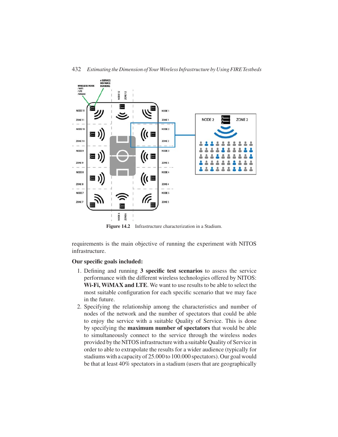

#### 432 *Estimating the Dimension of Your Wireless Infrastructure by Using FIRE Testbeds*

**Figure 14.2** Infrastructure characterization in a Stadium.

requirements is the main objective of running the experiment with NITOS infrastructure.

#### **Our specific goals included:**

- 1. Defining and running **3 specific test scenarios** to assess the service performance with the different wireless technologies offered by NITOS: **Wi-Fi, WiMAX and LTE**. We want to use results to be able to select the most suitable configuration for each specific scenario that we may face in the future.
- 2. Specifying the relationship among the characteristics and number of nodes of the network and the number of spectators that could be able to enjoy the service with a suitable Quality of Service. This is done by specifying the **maximum number of spectators** that would be able to simultaneously connect to the service through the wireless nodes provided by the NITOS infrastructure with a suitable Quality of Service in order to able to extrapolate the results for a wider audience (typically for stadiums with a capacity of 25.000 to 100.000 spectators). Our goal would be that at least 40% spectators in a stadium (users that are geographically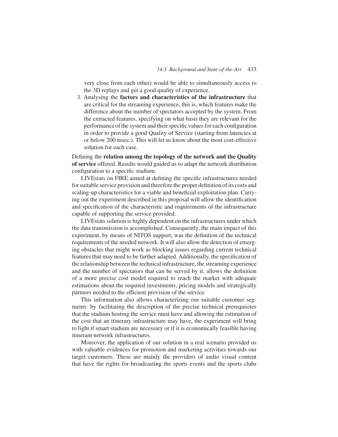very close from each other) would be able to simultaneously access to the 3D replays and get a good quality of experience.

3. Analysing the **factors and characteristics of the infrastructure** that are critical for the streaming experience, this is, which features make the difference about the number of spectators accepted by the system. From the extracted features, specifying on what basis they are relevant for the performance of the system and their specific values for each configuration in order to provide a good Quality of Service (starting from latencies at or below 200 msec.). This will let us know about the most cost-effective solution for each case.

Defining the **relation among the topology of the network and the Quality of service** offered. Results would guided us to adapt the network distribution configuration to a specific stadium.

LIVEstats on FIRE aimed at defining the specific infrastructures needed for suitable service provision and therefore the proper definition of its costs and scaling-up characteristics for a viable and beneficial exploitation plan. Carrying out the experiment described in this proposal will allow the identification and specification of the characteristic and requirements of the infrastructure capable of supporting the service provided.

LIVEstats solution is highly dependent on the infrastructures under which the data transmission is accomplished. Consequently, the main impact of this experiment, by means of NITOS support, was the definition of the technical requirements of the needed network. It will also allow the detection of emerging obstacles that might work as blocking issues regarding current technical features that may need to be further adapted. Additionally, the specification of the relationship between the technical infrastructure, the streaming experience and the number of spectators that can be served by it, allows the definition of a more precise cost model required to reach the market with adequate estimations about the required investments, pricing models and strategically partners needed to the efficient provision of the service.

This information also allows characterizing our suitable customer segments: by facilitating the description of the precise technical prerequisites that the stadium hosting the service must have and allowing the estimation of the cost that an itinerary infrastructure may have, the experiment will bring to light if smart stadium are necessary or if it is economically feasible having itinerant network infrastructures.

Moreover, the application of our solution in a real scenario provided us with valuable evidences for promotion and marketing activities towards our target customers. These are mainly the providers of audio visual content that have the rights for broadcasting the sports events and the sports clubs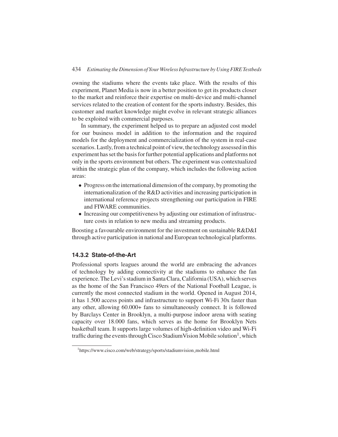owning the stadiums where the events take place. With the results of this experiment, Planet Media is now in a better position to get its products closer to the market and reinforce their expertise on multi-device and multi-channel services related to the creation of content for the sports industry. Besides, this customer and market knowledge might evolve in relevant strategic alliances to be exploited with commercial purposes.

In summary, the experiment helped us to prepare an adjusted cost model for our business model in addition to the information and the required models for the deployment and commercialization of the system in real-case scenarios. Lastly, from a technical point of view, the technology assessed in this experiment has set the basis for further potential applications and platforms not only in the sports environment but others. The experiment was contextualized within the strategic plan of the company, which includes the following action areas:

- Progress on the international dimension of the company, by promoting the internationalization of the R&D activities and increasing participation in international reference projects strengthening our participation in FIRE and FIWARE communities.
- Increasing our competitiveness by adjusting our estimation of infrastructure costs in relation to new media and streaming products.

Boosting a favourable environment for the investment on sustainable R&D&I through active participation in national and European technological platforms.

#### **14.3.2 State-of-the-Art**

Professional sports leagues around the world are embracing the advances of technology by adding connectivity at the stadiums to enhance the fan experience. The Levi's stadium in Santa Clara, California (USA), which serves as the home of the San Francisco 49ers of the National Football League, is currently the most connected stadium in the world. Opened in August 2014, it has 1.500 access points and infrastructure to support Wi-Fi 30x faster than any other, allowing 60.000+ fans to simultaneously connect. It is followed by Barclays Center in Brooklyn, a multi-purpose indoor arena with seating capacity over 18.000 fans, which serves as the home for Brooklyn Nets basketball team. It supports large volumes of high-definition video and Wi-Fi traffic during the events through Cisco Stadium Vision Mobile solution<sup>1</sup>, which

<sup>&</sup>lt;sup>1</sup>https://www.cisco.com/web/strategy/sports/stadiumvision\_mobile.html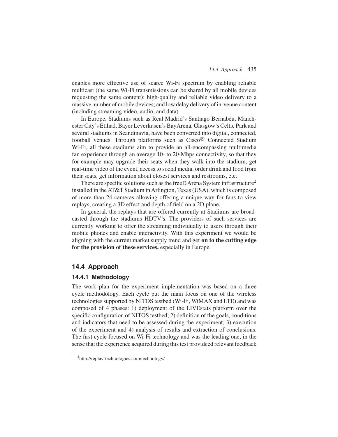enables more effective use of scarce Wi-Fi spectrum by enabling reliable multicast (the same Wi-Fi transmissions can be shared by all mobile devices requesting the same content); high-quality and reliable video delivery to a massive number of mobile devices; and low delay delivery of in-venue content (including streaming video, audio, and data).

In Europe, Stadiums such as Real Madrid's Santiago Bernabéu, Manchester City's Etihad, Bayer Leverkusen's BayArena, Glasgow's Celtic Park and several stadiums in Scandinavia, have been converted into digital, connected, football venues. Through platforms such as Cisco® Connected Stadium Wi-Fi, all these stadiums aim to provide an all-encompassing multimedia fan experience through an average 10- to 20-Mbps connectivity, so that they for example may upgrade their seats when they walk into the stadium, get real-time video of the event, access to social media, order drink and food from their seats, get information about closest services and restrooms, etc.

There are specific solutions such as the freeD Arena System infrastructure<sup>2</sup> installed in the AT&T Stadium in Arlington, Texas (USA), which is composed of more than 24 cameras allowing offering a unique way for fans to view replays, creating a 3D effect and depth of field on a 2D plane.

In general, the replays that are offered currently at Stadiums are broadcasted through the stadiums HDTV's. The providers of such services are currently working to offer the streaming individually to users through their mobile phones and enable interactivity. With this experiment we would be aligning with the current market supply trend and get **on to the cutting edge for the provision of these services,** especially in Europe.

## **14.4 Approach**

#### **14.4.1 Methodology**

The work plan for the experiment implementation was based on a three cycle methodology. Each cycle put the main focus on one of the wireless technologies supported by NITOS testbed (Wi-Fi, WiMAX and LTE) and was composed of 4 phases: 1) deployment of the LIVEstats platform over the specific configuration of NITOS testbed; 2) definition of the goals, conditions and indicators that need to be assessed during the experiment, 3) execution of the experiment and 4) analysis of results and extraction of conclusions. The first cycle focused on Wi-Fi technology and was the leading one, in the sense that the experience acquired during this test provideed relevant feedback

<sup>2</sup> http://replay-technologies.com/technology/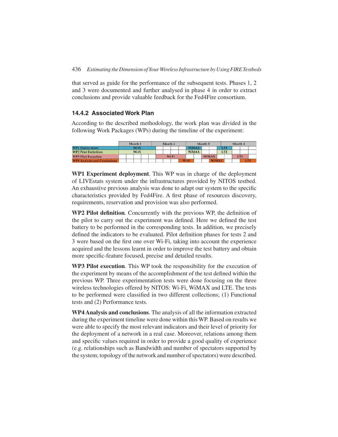that served as guide for the performance of the subsequent tests. Phases 1, 2 and 3 were documented and further analysed in phase 4 in order to extract conclusions and provide valuable feedback for the Fed4Fire consortium.

## **14.4.2 Associated Work Plan**

According to the described methodology, the work plan was divided in the following Work Packages (WPs) during the timeline of the experiment:

|                                     | Month 1 | Month 2 |              | Month <sub>3</sub> |            | Month 4    |
|-------------------------------------|---------|---------|--------------|--------------------|------------|------------|
| <b>WP1 Deployment</b>               | Wi-Fi   |         | <b>WiMAX</b> |                    | LTE        |            |
| <b>WP2 Pilot Definition</b>         | Wi-Fi   |         | <b>WiMAX</b> |                    | <b>LTE</b> |            |
| <b>WP3 Pilot Execution</b>          |         | Wi-Fi   |              | <b>WiMAX</b>       |            | <b>LTE</b> |
| <b>WP4 Analysis and Conclusions</b> |         |         | Wi-Fi        | <b>WIMAX</b>       |            |            |

**WP1 Experiment deployment**. This WP was in charge of the deployment of LIVEstats system under the infrastructures provided by NITOS testbed. An exhaustive previous analysis was done to adapt our system to the specific characteristics provided by Fed4Fire. A first phase of resources discovery, requirements, reservation and provision was also performed.

**WP2 Pilot definition**. Concurrently with the previous WP, the definition of the pilot to carry out the experiment was defined. Here we defined the test battery to be performed in the corresponding tests. In addition, we precisely defined the indicators to be evaluated. Pilot definition phases for tests 2 and 3 were based on the first one over Wi-Fi, taking into account the experience acquired and the lessons learnt in order to improve the test battery and obtain more specific-feature focused, precise and detailed results.

**WP3 Pilot execution**. This WP took the responsibility for the execution of the experiment by means of the accomplishment of the test defined within the previous WP. Three experimentation tests were done focusing on the three wireless technologies offered by NITOS: Wi-Fi, WiMAX and LTE. The tests to be performed were classified in two different collections; (1) Functional tests and (2) Performance tests.

**WP4 Analysis and conclusions**. The analysis of all the information extracted during the experiment timeline were done within this WP. Based on results we were able to specify the most relevant indicators and their level of priority for the deployment of a network in a real case. Moreover, relations among them and specific values required in order to provide a good quality of experience (e.g. relationships such as Bandwidth and number of spectators supported by the system; topology of the network and number of spectators) were described.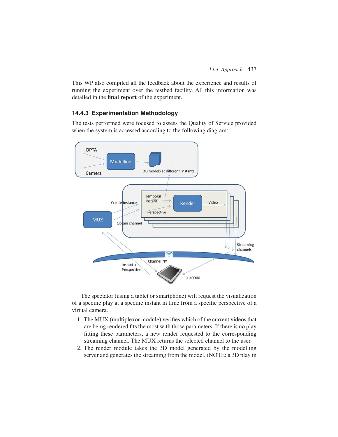This WP also compiled all the feedback about the experience and results of running the experiment over the testbed facility. All this information was detailed in the **final report** of the experiment.

## **14.4.3 Experimentation Methodology**

The tests performed were focused to assess the Quality of Service provided when the system is accessed according to the following diagram:



The spectator (using a tablet or smartphone) will request the visualization of a specific play at a specific instant in time from a specific perspective of a virtual camera.

- 1. The MUX (multiplexor module) verifies which of the current videos that are being rendered fits the most with those parameters. If there is no play fitting these parameters, a new render requested to the corresponding streaming channel. The MUX returns the selected channel to the user.
- 2. The render module takes the 3D model generated by the modelling server and generates the streaming from the model. (NOTE: a 3D play in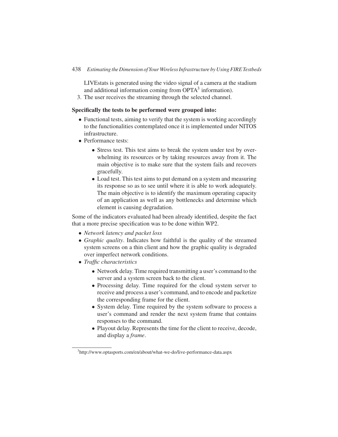#### 438 *Estimating the Dimension of Your Wireless Infrastructure by Using FIRE Testbeds*

LIVEstats is generated using the video signal of a camera at the stadium and additional information coming from OPTA<sup>3</sup> information).

3. The user receives the streaming through the selected channel.

## **Specifically the tests to be performed were grouped into:**

- Functional tests, aiming to verify that the system is working accordingly to the functionalities contemplated once it is implemented under NITOS infrastructure.
- Performance tests:
	- Stress test. This test aims to break the system under test by overwhelming its resources or by taking resources away from it. The main objective is to make sure that the system fails and recovers gracefully.
	- Load test. This test aims to put demand on a system and measuring its response so as to see until where it is able to work adequately. The main objective is to identify the maximum operating capacity of an application as well as any bottlenecks and determine which element is causing degradation.

Some of the indicators evaluated had been already identified, despite the fact that a more precise specification was to be done within WP2.

- *Network latency and packet loss*
- *Graphic quality*. Indicates how faithful is the quality of the streamed system screens on a thin client and how the graphic quality is degraded over imperfect network conditions.
- *Traffic characteristics*
	- Network delay. Time required transmitting a user's command to the server and a system screen back to the client.
	- Processing delay. Time required for the cloud system server to receive and process a user's command, and to encode and packetize the corresponding frame for the client.
	- System delay. Time required by the system software to process a user's command and render the next system frame that contains responses to the command.
	- Playout delay. Represents the time for the client to receive, decode, and display a *frame*.

<sup>&</sup>lt;sup>3</sup>http://www.optasports.com/en/about/what-we-do/live-performance-data.aspx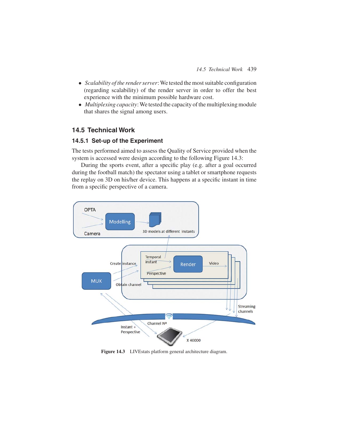- *Scalability of the render server*: We tested the most suitable configuration (regarding scalability) of the render server in order to offer the best experience with the minimum possible hardware cost.
- *Multiplexing capacity:* We tested the capacity of the multiplexing module that shares the signal among users.

## **14.5 Technical Work**

#### **14.5.1 Set-up of the Experiment**

The tests performed aimed to assess the Quality of Service provided when the system is accessed were design according to the following Figure 14.3:

During the sports event, after a specific play (e.g. after a goal occurred during the football match) the spectator using a tablet or smartphone requests the replay on 3D on his/her device. This happens at a specific instant in time from a specific perspective of a camera.



**Figure 14.3** LIVEstats platform general architecture diagram.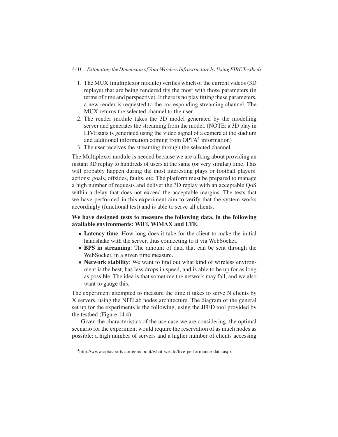- 1. The MUX (multiplexor module) verifies which of the current videos (3D replays) that are being rendered fits the most with those parameters (in terms of time and perspective). If there is no play fitting these parameters, a new render is requested to the corresponding streaming channel. The MUX returns the selected channel to the user.
- 2. The render module takes the 3D model generated by the modelling server and generates the streaming from the model. (NOTE: a 3D play in LIVEstats is generated using the video signal of a camera at the stadium and additional information coming from  $OPTA<sup>4</sup>$  information)
- 3. The user receives the streaming through the selected channel.

The Multiplexor module is needed because we are talking about providing an instant 3D replay to hundreds of users at the same (or very similar) time. This will probably happen during the most interesting plays or football players' actions: goals, offsides, faults, etc. The platform must be prepared to manage a high number of requests and deliver the 3D replay with an acceptable QoS within a delay that does not exceed the acceptable margins. The tests that we have performed in this experiment aim to verify that the system works accordingly (functional test) and is able to serve all clients.

## **We have designed tests to measure the following data, in the following available environments: WiFi, WiMAX and LTE**.

- **Latency time**: How long does it take for the client to make the initial handshake with the server, thus connecting to it via WebSocket.
- **BPS in streaming**: The amount of data that can be sent through the WebSocket, in a given time measure.
- **Network stability**: We want to find out what kind of wireless environment is the best, has less drops in speed, and is able to be up for as long as possible. The idea is that sometime the network may fail, and we also want to gauge this.

The experiment attempted to measure the time it takes to serve N clients by X servers, using the NITLab nodes architecture. The diagram of the general set up for the experiments is the following, using the JFED tool provided by the testbed (Figure 14.4):

Given the characteristics of the use case we are considering, the optimal scenario for the experiment would require the reservation of as much nodes as possible: a high number of servers and a higher number of clients accessing

<sup>4</sup> http://www.optasports.com/en/about/what-we-do/live-performance-data.aspx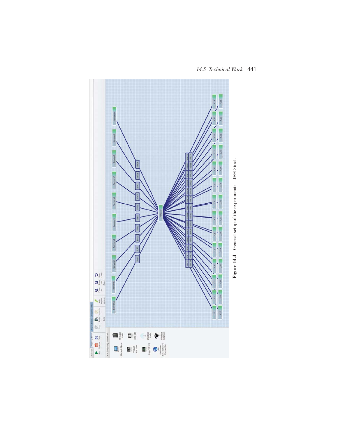

*14.5 Technical Work* 441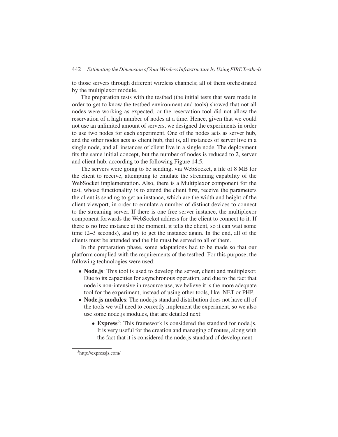to those servers through different wireless channels; all of them orchestrated by the multiplexor module.

The preparation tests with the testbed (the initial tests that were made in order to get to know the testbed environment and tools) showed that not all nodes were working as expected, or the reservation tool did not allow the reservation of a high number of nodes at a time. Hence, given that we could not use an unlimited amount of servers, we designed the experiments in order to use two nodes for each experiment. One of the nodes acts as server hub, and the other nodes acts as client hub, that is, all instances of server live in a single node, and all instances of client live in a single node. The deployment fits the same initial concept, but the number of nodes is reduced to 2, server and client hub, according to the following Figure 14.5.

The servers were going to be sending, via WebSocket, a file of 8 MB for the client to receive, attempting to emulate the streaming capability of the WebSocket implementation. Also, there is a Multiplexor component for the test, whose functionality is to attend the client first, receive the parameters the client is sending to get an instance, which are the width and height of the client viewport, in order to emulate a number of distinct devices to connect to the streaming server. If there is one free server instance, the multiplexor component forwards the WebSocket address for the client to connect to it. If there is no free instance at the moment, it tells the client, so it can wait some time (2–3 seconds), and try to get the instance again. In the end, all of the clients must be attended and the file must be served to all of them.

In the preparation phase, some adaptations had to be made so that our platform complied with the requirements of the testbed. For this purpose, the following technologies were used:

- **Node.js**: This tool is used to develop the server, client and multiplexor. Due to its capacities for asynchronous operation, and due to the fact that node is non-intensive in resource use, we believe it is the more adequate tool for the experiment, instead of using other tools, like .NET or PHP.
- **Node.js modules**: The node.js standard distribution does not have all of the tools we will need to correctly implement the experiment, so we also use some node.js modules, that are detailed next:
	- **Express**<sup>5</sup>: This framework is considered the standard for node.js. It is very useful for the creation and managing of routes, along with the fact that it is considered the node.js standard of development.

<sup>5</sup> http://expressjs.com/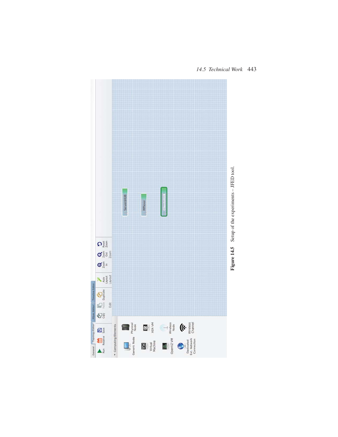

*14.5 Technical Work* 443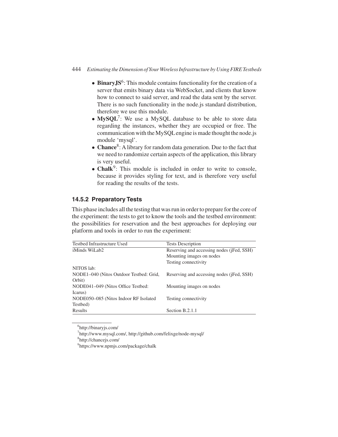- **Binary,**  $JS^6$ **:** This module contains functionality for the creation of a server that emits binary data via WebSocket, and clients that know how to connect to said server, and read the data sent by the server. There is no such functionality in the node.js standard distribution, therefore we use this module.
- **MySQL**<sup>7</sup>: We use a MySQL database to be able to store data regarding the instances, whether they are occupied or free. The communication with the MySQL engine is made thought the node.js module 'mysql'.
- **Chance**<sup>8</sup>: A library for random data generation. Due to the fact that we need to randomize certain aspects of the application, this library is very useful.
- **Chalk**<sup>9</sup>: This module is included in order to write to console, because it provides styling for text, and is therefore very useful for reading the results of the tests.

#### **14.5.2 Preparatory Tests**

This phase includes all the testing that was run in order to prepare for the core of the experiment: the tests to get to know the tools and the testbed environment: the possibilities for reservation and the best approaches for deploying our platform and tools in order to run the experiment:

| Testbed Infrastructure Used             | <b>Tests Description</b>                           |
|-----------------------------------------|----------------------------------------------------|
| iMinds WiLab2                           | Reserving and accessing nodes (jFed, SSH)          |
|                                         | Mounting images on nodes                           |
|                                         | Testing connectivity                               |
| NITOS lab:                              |                                                    |
| NODE1-040 (Nitos Outdoor Testbed: Grid, | Reserving and accessing nodes ( <i>jFed, SSH</i> ) |
| Orbit)                                  |                                                    |
| NODE041-049 (Nitos Office Testbed:      | Mounting images on nodes                           |
| Icarus)                                 |                                                    |
| NODE050–085 (Nitos Indoor RF Isolated   | Testing connectivity                               |
| Testbed)                                |                                                    |
| Results                                 | Section B.2.1.1                                    |

6 http://binaryjs.com/

<sup>7</sup>http://www.mysql.com/, http://github.com/felixge/node-mysql/

8 http://chancejs.com/

9 https://www.npmjs.com/package/chalk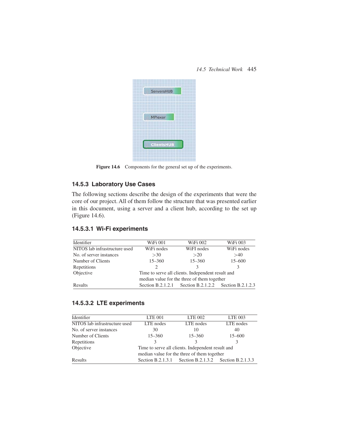*14.5 Technical Work* 445



Figure 14.6 Components for the general set up of the experiments.

## **14.5.3 Laboratory Use Cases**

The following sections describe the design of the experiments that were the core of our project. All of them follow the structure that was presented earlier in this document, using a server and a client hub, according to the set up (Figure 14.6).

## **14.5.3.1 Wi-Fi experiments**

| Identifier                    | WiFi 001                                          | WiFi 002                                              | WiFi 003   |
|-------------------------------|---------------------------------------------------|-------------------------------------------------------|------------|
| NITOS lab infrastructure used | WiFi nodes                                        | WiFI nodes                                            | WiFi nodes |
| No. of server instances       | >30                                               | >20                                                   | >40        |
| Number of Clients             | $15 - 360$                                        | $15 - 360$                                            | $15 - 600$ |
| Repetitions                   | $\mathcal{D}$                                     |                                                       | 3          |
| Objective                     | Time to serve all clients. Independent result and |                                                       |            |
|                               | median value for the three of them together       |                                                       |            |
| <b>Results</b>                |                                                   | Section B.2.1.2.1 Section B.2.1.2.2 Section B.2.1.2.3 |            |

## **14.5.3.2 LTE experiments**

| Identifier                    | <b>LTE 001</b>                                    | <b>LTE 002</b>                                        | <b>LTE 003</b> |
|-------------------------------|---------------------------------------------------|-------------------------------------------------------|----------------|
| NITOS lab infrastructure used | LTE nodes                                         | LTE nodes                                             | LTE nodes      |
| No. of server instances       | 30                                                | 10                                                    | 40             |
| Number of Clients             | $15 - 360$                                        | $15 - 360$                                            | $15 - 600$     |
| Repetitions                   | $\mathcal{R}$                                     |                                                       |                |
| Objective                     | Time to serve all clients. Independent result and |                                                       |                |
|                               | median value for the three of them together       |                                                       |                |
| Results                       |                                                   | Section B.2.1.3.1 Section B.2.1.3.2 Section B.2.1.3.3 |                |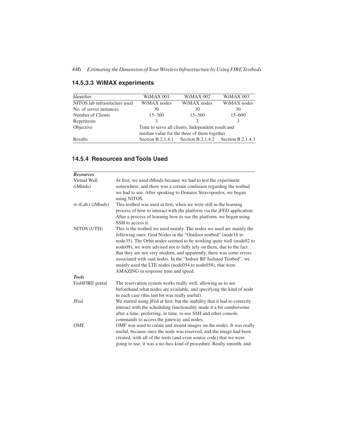| Identifier                    | WiMAX 001                                         | WiMAX 002                                             | WiMAX 003   |
|-------------------------------|---------------------------------------------------|-------------------------------------------------------|-------------|
| NITOS lab infrastructure used | WiMAX nodes                                       | WiMAX nodes                                           | WiMAX nodes |
| No. of server instances       | 30                                                | 30                                                    | 30          |
| Number of Clients             | $15 - 360$                                        | $15 - 360$                                            | $15 - 600$  |
| Repetitions                   | 3                                                 | $\mathcal{R}$                                         | 3           |
| Objective                     | Time to serve all clients. Independent result and |                                                       |             |
|                               | median value for the three of them together       |                                                       |             |
| Results                       |                                                   | Section B.2.1.4.1 Section B.2.1.4.2 Section B.2.1.4.3 |             |

## **14.5.3.3 WiMAX experiments**

## **14.5.4 Resources and Tools Used**

| <b>Resources</b>  |                                                                                                                                                                                                                                                                                                                                                                                                                                                                                                                                            |
|-------------------|--------------------------------------------------------------------------------------------------------------------------------------------------------------------------------------------------------------------------------------------------------------------------------------------------------------------------------------------------------------------------------------------------------------------------------------------------------------------------------------------------------------------------------------------|
| Virtual Wall      | At first, we used iMinds because we had to test the experiment                                                                                                                                                                                                                                                                                                                                                                                                                                                                             |
| (iMinds)          | somewhere, and there was a certain confusion regarding the testbed<br>we had to use. After speaking to Donatos Stravopoulos, we began<br>using NITOS.                                                                                                                                                                                                                                                                                                                                                                                      |
| w-iLab.t (iMinds) | This testbed was used at first, when we were still in the learning<br>process of how to interact with the platform via the jFED application.<br>After a process of learning how to use the platform, we began using<br>SSH to access it.                                                                                                                                                                                                                                                                                                   |
| NITOS (UTH)       | This is the testbed we used mainly. The nodes we used are mainly the<br>following ones: Grid Nodes in the "Outdoor testbed" (node 16 to<br>node 35). The Orbit nodes seemed to be working quite well (node 02 to<br>node09), we were advised not to fully rely on them, due to the fact<br>that they are not very modern, and apparently, there was some errors<br>associated with said nodes. In the "Indoor RF Isolated Testbed", we<br>mainly used the LTE nodes (node054 to node058), that were<br>AMAZING in response time and speed. |
| <b>Tools</b>      |                                                                                                                                                                                                                                                                                                                                                                                                                                                                                                                                            |
| Fed4FIRE portal   | The reservation system works really well, allowing us to see<br>beforehand what nodes are available, and specifying the kind of node<br>in each case (this last bit was really useful).                                                                                                                                                                                                                                                                                                                                                    |
| <b>JFed</b>       | We started using jFed at first, but the inability that it had to correctly<br>interact with the scheduling functionality made it a bit cumbersome<br>after a time, preferring, in time, to use SSH and other console<br>commands to access the gateway and nodes.                                                                                                                                                                                                                                                                          |
| <b>OMF</b>        | OMF was used to create and mount images on the nodes. It was really<br>useful, because once the node was reserved, and the image had been<br>created, with all of the tools (and even source code) that we were<br>going to use, it was a no-fuss kind of procedure. Really smooth, and                                                                                                                                                                                                                                                    |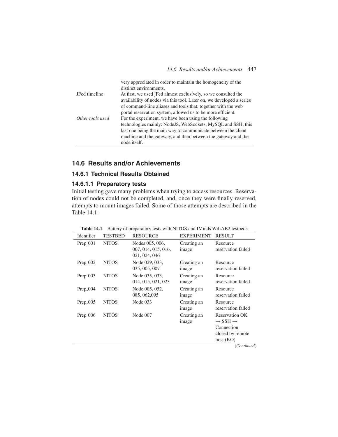|                  | very appreciated in order to maintain the homogeneity of the         |
|------------------|----------------------------------------------------------------------|
|                  | distinct environments.                                               |
| JFed timeline    | At first, we used if ed almost exclusively, so we consulted the      |
|                  | availability of nodes via this tool. Later on, we developed a series |
|                  | of command-line aliases and tools that, together with the web        |
|                  | portal reservation system, allowed us to be more efficient.          |
| Other tools used | For the experiment, we have been using the following                 |
|                  | technologies mainly: NodeJS, WebSockets, MySQL and SSH, this         |
|                  | last one being the main way to communicate between the client        |
|                  | machine and the gateway, and then between the gateway and the        |
|                  | node itself.                                                         |
|                  |                                                                      |

## **14.6 Results and/or Achievements**

## **14.6.1 Technical Results Obtained**

#### **14.6.1.1 Preparatory tests**

Initial testing gave many problems when trying to access resources. Reservation of nodes could not be completed, and, once they were finally reserved, attempts to mount images failed. Some of those attempts are described in the Table 14.1:

| Identifier           | <b>TESTBED</b> | <b>RESOURCE</b>                                         | <b>EXPERIMENT</b>    | <b>RESULT</b>                                                                                           |
|----------------------|----------------|---------------------------------------------------------|----------------------|---------------------------------------------------------------------------------------------------------|
| Prep <sub>-001</sub> | <b>NITOS</b>   | Nodes 005, 006,<br>007, 014, 015, 016,<br>021, 024, 046 | Creating an<br>image | Resource<br>reservation failed                                                                          |
| $Prep_002$           | <b>NITOS</b>   | Node 029, 033,<br>035, 005, 007                         | Creating an<br>image | Resource<br>reservation failed                                                                          |
| $Prep_003$           | <b>NITOS</b>   | Node 035, 033,<br>014, 015, 021, 023                    | Creating an<br>image | Resource<br>reservation failed                                                                          |
| $Prep_004$           | <b>NITOS</b>   | Node 005, 052,<br>085, 062, 095                         | Creating an<br>image | Resource<br>reservation failed                                                                          |
| $Prep_005$           | <b>NITOS</b>   | Node 033                                                | Creating an<br>image | Resource<br>reservation failed                                                                          |
| $Prep_0006$          | <b>NITOS</b>   | Node 007                                                | Creating an<br>image | <b>Reservation OK</b><br>$\rightarrow$ SSH $\rightarrow$<br>Connection<br>closed by remote<br>host (KO) |
|                      |                |                                                         |                      | (Continued)                                                                                             |

**Table 14.1** Battery of preparatory tests with NITOS and IMinds WiLAB2 testbeds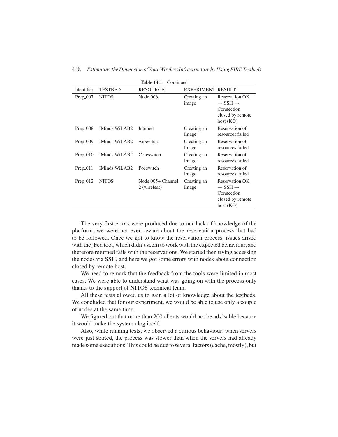|             |                      | <b>Table 14.1</b><br>Continued    |                          |                                                                                                           |
|-------------|----------------------|-----------------------------------|--------------------------|-----------------------------------------------------------------------------------------------------------|
| Identifier  | <b>TESTBED</b>       | <b>RESOURCE</b>                   | <b>EXPERIMENT RESULT</b> |                                                                                                           |
| $Prep_007$  | <b>NITOS</b>         | Node 006                          | Creating an<br>image     | <b>Reservation OK</b><br>$\rightarrow$ SSH $\rightarrow$<br>Connection<br>closed by remote                |
| $Prep_0008$ | <b>IMinds WiLAB2</b> | Internet                          | Creating an<br>Image     | host $(KO)$<br>Reservation of<br>resources failed                                                         |
| $Prep_009$  | <b>IMinds WiLAB2</b> | Airswitch                         | Creating an<br>Image     | Reservation of<br>resources failed                                                                        |
| $Prep_010$  | <b>IMinds WiLAB2</b> | Coreswitch                        | Creating an<br>Image     | Reservation of<br>resources failed                                                                        |
| $Prep_011$  | <b>IMinds WiLAB2</b> | Poeswitch                         | Creating an<br>Image     | Reservation of<br>resources failed                                                                        |
| $Prep_012$  | <b>NITOS</b>         | Node 005+ Channel<br>2 (wireless) | Creating an<br>Image     | <b>Reservation OK</b><br>$\rightarrow$ SSH $\rightarrow$<br>Connection<br>closed by remote<br>host $(KO)$ |

448 *Estimating the Dimension of Your Wireless Infrastructure by Using FIRE Testbeds*

The very first errors were produced due to our lack of knowledge of the platform, we were not even aware about the reservation process that had to be followed. Once we got to know the reservation process, issues arised with the jFed tool, which didn't seem to work with the expected behaviour, and therefore returned fails with the reservations. We started then trying accessing the nodes via SSH, and here we got some errors with nodes about connection closed by remote host.

We need to remark that the feedback from the tools were limited in most cases. We were able to understand what was going on with the process only thanks to the support of NITOS technical team.

All these tests allowed us to gain a lot of knowledge about the testbeds. We concluded that for our experiment, we would be able to use only a couple of nodes at the same time.

We figured out that more than 200 clients would not be advisable because it would make the system clog itself.

Also, while running tests, we observed a curious behaviour: when servers were just started, the process was slower than when the servers had already made some executions. This could be due to several factors (cache, mostly), but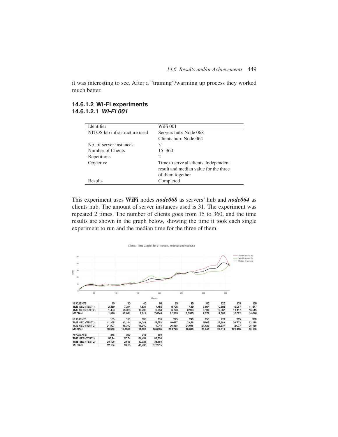it was interesting to see. After a "training"/warming up process they worked much better.

| Identifier                    | WiFi 001                               |
|-------------------------------|----------------------------------------|
| NITOS lab infrastructure used | Servers hub: Node 068                  |
|                               | Clients hub: Node 064                  |
| No. of server instances       | 31                                     |
| Number of Clients             | $15 - 360$                             |
| Repetitions                   | $\mathcal{D}_{\mathcal{L}}$            |
| Objective                     | Time to serve all clients. Independent |
|                               | result and median value for the three  |
|                               | of them together                       |
| Results                       | Completed                              |

## **14.6.1.2 Wi-Fi experiments 14.6.1.2.1** *Wi-Fi 001*

This experiment uses **WiFi** nodes *node068* as servers' hub and *node064* as clients hub. The amount of server instances used is 31. The experiment was repeated 2 times. The number of clients goes from 15 to 360, and the time results are shown in the graph below, showing the time it took each single experiment to run and the median time for the three of them.

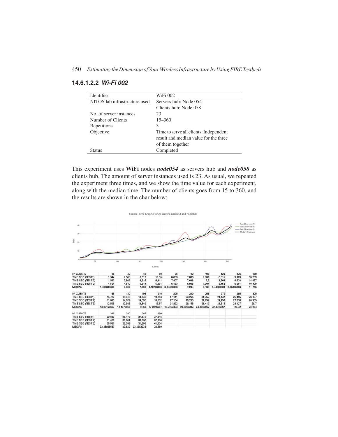| Identifier                    | WiFi 002                               |
|-------------------------------|----------------------------------------|
| NITOS lab infrastructure used | Servers hub: Node 054                  |
|                               | Clients hub: Node 058                  |
| No. of server instances       | 23                                     |
| Number of Clients             | $15 - 360$                             |
| Repetitions                   | 3                                      |
| Objective                     | Time to serve all clients. Independent |
|                               | result and median value for the three  |
|                               | of them together                       |
| Status                        | Completed                              |

## **14.6.1.2.2** *Wi-Fi 002*

 $\overline{a}$ 

l,

This experiment uses **WiFi** nodes *node054* as servers hub and *node058* as clients hub. The amount of server instances used is 23. As usual, we repeated the experiment three times, and we show the time value for each experiment, along with the median time. The number of clients goes from 15 to 360, and the results are shown in the char below:

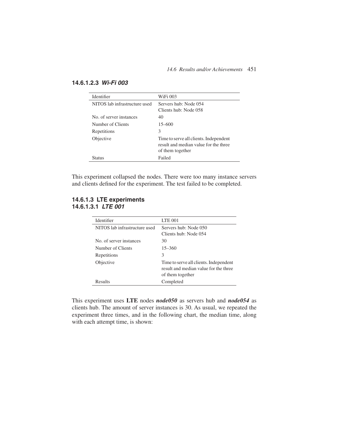## Identifier WiFi 003 NITOS lab infrastructure used Servers hub: Node 054 Clients hub: Node 058 No. of server instances 40 Number of Clients 15–600 Repetitions 3 Objective Time to serve all clients. Independent result and median value for the three of them together Status **Failed**

## **14.6.1.2.3** *Wi-Fi 003*

This experiment collapsed the nodes. There were too many instance servers and clients defined for the experiment. The test failed to be completed.

## **14.6.1.3 LTE experiments 14.6.1.3.1** *LTE 001*

| Identifier                    | <b>LTE 001</b>                                                                                      |
|-------------------------------|-----------------------------------------------------------------------------------------------------|
| NITOS lab infrastructure used | Servers hub: Node 050<br>Clients hub: Node 054                                                      |
| No. of server instances       | 30                                                                                                  |
| Number of Clients             | $15 - 360$                                                                                          |
| Repetitions                   | 3                                                                                                   |
| Objective                     | Time to serve all clients. Independent<br>result and median value for the three<br>of them together |
| Results                       | Completed                                                                                           |

This experiment uses **LTE** nodes *node050* as servers hub and *node054* as clients hub. The amount of server instances is 30. As usual, we repeated the experiment three times, and in the following chart, the median time, along with each attempt time, is shown: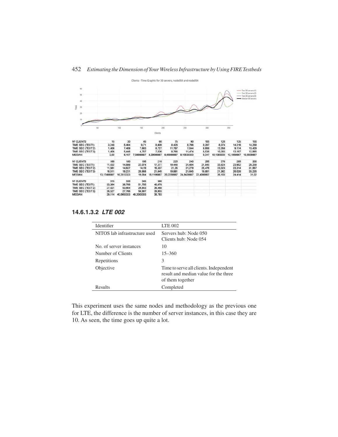452 *Estimating the Dimension of Your Wireless Infrastructure by Using FIRE Testbeds*



## **14.6.1.3.2** *LTE 002*

| <b>Identifier</b>             | <b>LTE 002</b>                                                                                      |
|-------------------------------|-----------------------------------------------------------------------------------------------------|
| NITOS lab infrastructure used | Servers hub: Node 050<br>Clients hub: Node 054                                                      |
| No. of server instances       | 10                                                                                                  |
| Number of Clients             | $15 - 360$                                                                                          |
| Repetitions                   | 3                                                                                                   |
| Objective                     | Time to serve all clients. Independent<br>result and median value for the three<br>of them together |
| Results                       | Completed                                                                                           |

This experiment uses the same nodes and methodology as the previous one for LTE, the difference is the number of server instances, in this case they are 10. As seen, the time goes up quite a lot.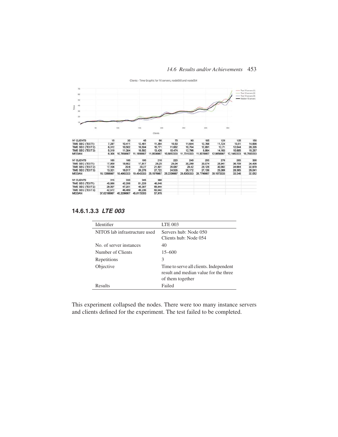

## **14.6.1.3.3** *LTE 003*

| Identifier                    | <b>LTE 003</b>                                                                                      |
|-------------------------------|-----------------------------------------------------------------------------------------------------|
| NITOS lab infrastructure used | Servers hub: Node 050<br>Clients hub: Node 054                                                      |
| No. of server instances       | 40                                                                                                  |
| Number of Clients             | $15 - 600$                                                                                          |
| Repetitions                   | 3                                                                                                   |
| Objective                     | Time to serve all clients. Independent<br>result and median value for the three<br>of them together |
| Results                       | Failed                                                                                              |

This experiment collapsed the nodes. There were too many instance servers and clients defined for the experiment. The test failed to be completed.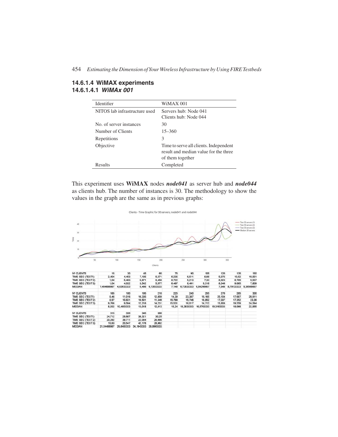| Identifier                    | WiMAX 001                                                                                           |
|-------------------------------|-----------------------------------------------------------------------------------------------------|
| NITOS lab infrastructure used | Servers hub: Node 041<br>Clients hub: Node 044                                                      |
| No. of server instances       | 30                                                                                                  |
| Number of Clients             | $15 - 360$                                                                                          |
| Repetitions                   | 3                                                                                                   |
| Objective                     | Time to serve all clients. Independent<br>result and median value for the three<br>of them together |
| Results                       | Completed                                                                                           |

## **14.6.1.4 WiMAX experiments 14.6.1.4.1** *WiMAx 001*

This experiment uses **WiMAX** nodes *node041* as server hub and *node044* as clients hub. The number of instances is 30. The methodology to show the values in the graph are the same as in previous graphs:

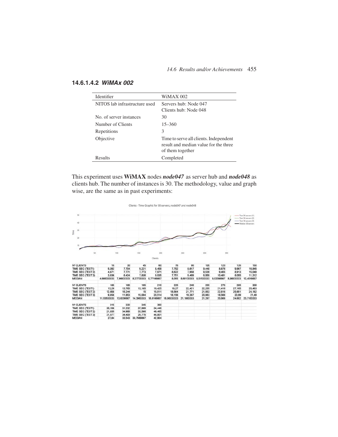| Identifier                    | WiMAX 002                                                                                           |
|-------------------------------|-----------------------------------------------------------------------------------------------------|
| NITOS lab infrastructure used | Servers hub: Node 047<br>Clients hub: Node 048                                                      |
| No. of server instances       | 30                                                                                                  |
| Number of Clients             | $15 - 360$                                                                                          |
| Repetitions                   | 3                                                                                                   |
| Objective                     | Time to serve all clients. Independent<br>result and median value for the three<br>of them together |
| Results                       | Completed                                                                                           |

## **14.6.1.4.2** *WiMAx 002*

This experiment uses **WiMAX** nodes *node047* as server hub and *node048* as clients hub. The number of instances is 30. The methodology, value and graph wise, are the same as in past experiments:

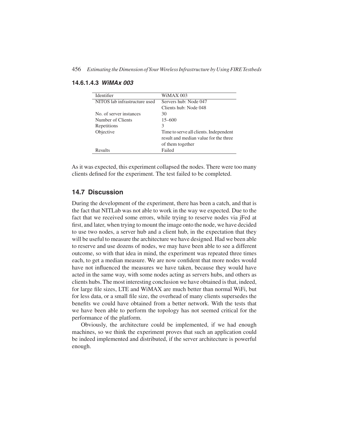| Identifier                    | WiMAX 003                              |
|-------------------------------|----------------------------------------|
| NITOS lab infrastructure used | Servers hub: Node 047                  |
|                               | Clients hub: Node 048                  |
| No. of server instances       | 30                                     |
| Number of Clients             | $15 - 600$                             |
| Repetitions                   | 3                                      |
| Objective                     | Time to serve all clients. Independent |
|                               | result and median value for the three  |
|                               | of them together                       |
| Results                       | Failed                                 |

## **14.6.1.4.3** *WiMAx 003*

As it was expected, this experiment collapsed the nodes. There were too many clients defined for the experiment. The test failed to be completed.

## **14.7 Discussion**

 $\overline{a}$ 

During the development of the experiment, there has been a catch, and that is the fact that NITLab was not able to work in the way we expected. Due to the fact that we received some errors, while trying to reserve nodes via jFed at first, and later, when trying to mount the image onto the node, we have decided to use two nodes, a server hub and a client hub, in the expectation that they will be useful to measure the architecture we have designed. Had we been able to reserve and use dozens of nodes, we may have been able to see a different outcome, so with that idea in mind, the experiment was repeated three times each, to get a median measure. We are now confident that more nodes would have not influenced the measures we have taken, because they would have acted in the same way, with some nodes acting as servers hubs, and others as clients hubs. The most interesting conclusion we have obtained is that, indeed, for large file sizes, LTE and WiMAX are much better than normal WiFi, but for less data, or a small file size, the overhead of many clients supersedes the benefits we could have obtained from a better network. With the tests that we have been able to perform the topology has not seemed critical for the performance of the platform.

Obviously, the architecture could be implemented, if we had enough machines, so we think the experiment proves that such an application could be indeed implemented and distributed, if the server architecture is powerful enough.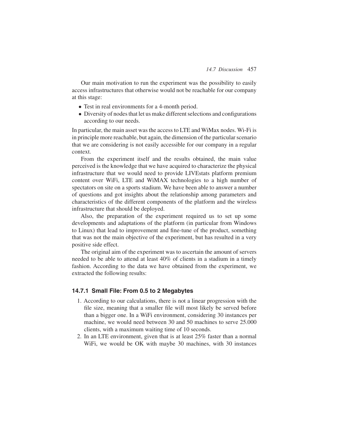Our main motivation to run the experiment was the possibility to easily access infrastructures that otherwise would not be reachable for our company at this stage:

- Test in real environments for a 4-month period.
- Diversity of nodes that let us make different selections and configurations according to our needs.

In particular, the main asset was the access to LTE and WiMax nodes. Wi-Fi is in principle more reachable, but again, the dimension of the particular scenario that we are considering is not easily accessible for our company in a regular context.

From the experiment itself and the results obtained, the main value perceived is the knowledge that we have acquired to characterize the physical infrastructure that we would need to provide LIVEstats platform premium content over WiFi, LTE and WiMAX technologies to a high number of spectators on site on a sports stadium. We have been able to answer a number of questions and got insights about the relationship among parameters and characteristics of the different components of the platform and the wireless infrastructure that should be deployed.

Also, the preparation of the experiment required us to set up some developments and adaptations of the platform (in particular from Windows to Linux) that lead to improvement and fine-tune of the product, something that was not the main objective of the experiment, but has resulted in a very positive side effect.

The original aim of the experiment was to ascertain the amount of servers needed to be able to attend at least 40% of clients in a stadium in a timely fashion. According to the data we have obtained from the experiment, we extracted the following results:

#### **14.7.1 Small File: From 0.5 to 2 Megabytes**

- 1. According to our calculations, there is not a linear progression with the file size, meaning that a smaller file will most likely be served before than a bigger one. In a WiFi environment, considering 30 instances per machine, we would need between 30 and 50 machines to serve 25.000 clients, with a maximum waiting time of 10 seconds.
- 2. In an LTE environment, given that is at least 25% faster than a normal WiFi, we would be OK with maybe 30 machines, with 30 instances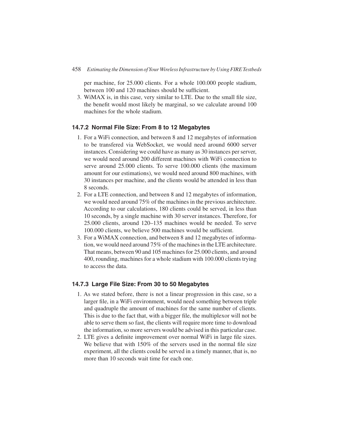per machine, for 25.000 clients. For a whole 100.000 people stadium, between 100 and 120 machines should be sufficient.

3. WiMAX is, in this case, very similar to LTE. Due to the small file size, the benefit would most likely be marginal, so we calculate around 100 machines for the whole stadium.

## **14.7.2 Normal File Size: From 8 to 12 Megabytes**

- 1. For a WiFi connection, and between 8 and 12 megabytes of information to be transfered via WebSocket, we would need around 6000 server instances. Considering we could have as many as 30 instances per server, we would need around 200 different machines with WiFi connection to serve around 25.000 clients. To serve 100.000 clients (the maximum amount for our estimations), we would need around 800 machines, with 30 instances per machine, and the clients would be attended in less than 8 seconds.
- 2. For a LTE connection, and between 8 and 12 megabytes of information, we would need around 75% of the machines in the previous architecture. According to our calculations, 180 clients could be served, in less than 10 seconds, by a single machine with 30 server instances. Therefore, for 25.000 clients, around 120–135 machines would be needed. To serve 100.000 clients, we believe 500 machines would be sufficient.
- 3. For a WiMAX connection, and between 8 and 12 megabytes of information, we would need around 75% of the machines in the LTE architecture. That means, between 90 and 105 machines for 25.000 clients, and around 400, rounding, machines for a whole stadium with 100.000 clients trying to access the data.

#### **14.7.3 Large File Size: From 30 to 50 Megabytes**

- 1. As we stated before, there is not a linear progression in this case, so a larger file, in a WiFi environment, would need something between triple and quadruple the amount of machines for the same number of clients. This is due to the fact that, with a bigger file, the multiplexor will not be able to serve them so fast, the clients will require more time to download the information, so more servers would be advised in this particular case.
- 2. LTE gives a definite improvement over normal WiFi in large file sizes. We believe that with 150% of the servers used in the normal file size experiment, all the clients could be served in a timely manner, that is, no more than 10 seconds wait time for each one.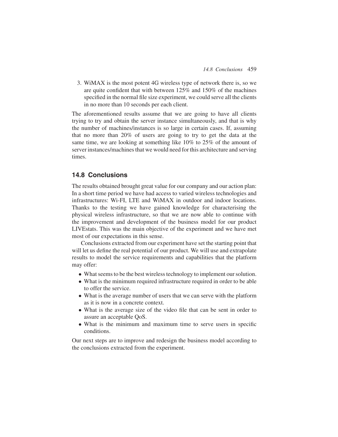3. WiMAX is the most potent 4G wireless type of network there is, so we are quite confident that with between 125% and 150% of the machines specified in the normal file size experiment, we could serve all the clients in no more than 10 seconds per each client.

The aforementioned results assume that we are going to have all clients trying to try and obtain the server instance simultaneously, and that is why the number of machines/instances is so large in certain cases. If, assuming that no more than 20% of users are going to try to get the data at the same time, we are looking at something like 10% to 25% of the amount of server instances/machines that we would need for this architecture and serving times.

### **14.8 Conclusions**

The results obtained brought great value for our company and our action plan: In a short time period we have had access to varied wireless technologies and infrastructures: Wi-FI, LTE and WiMAX in outdoor and indoor locations. Thanks to the testing we have gained knowledge for characterising the physical wireless infrastructure, so that we are now able to continue with the improvement and development of the business model for our product LIVEstats. This was the main objective of the experiment and we have met most of our expectations in this sense.

Conclusions extracted from our experiment have set the starting point that will let us define the real potential of our product. We will use and extrapolate results to model the service requirements and capabilities that the platform may offer:

- What seems to be the best wireless technology to implement our solution.
- What is the minimum required infrastructure required in order to be able to offer the service.
- What is the average number of users that we can serve with the platform as it is now in a concrete context.
- What is the average size of the video file that can be sent in order to assure an acceptable QoS.
- What is the minimum and maximum time to serve users in specific conditions.

Our next steps are to improve and redesign the business model according to the conclusions extracted from the experiment.